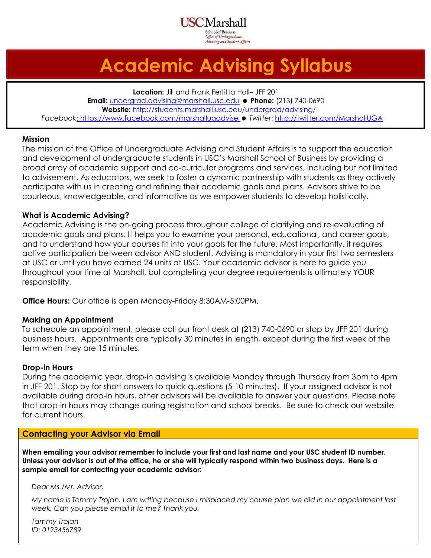Aarshall chool of Business Office of Undergraduate Advising and Student Affairs

## **Academic Advising Syllabus**

**Location:** Jill and Frank Fertitta Hall– JFF 201 **Email:** [undergrad.advising@marshall.usc.edu](mailto:undergrad.advising@marshall.usc.edu) **Phone:** (213) 740-0690 **Website:** <http://students.marshall.usc.edu/undergrad/advising/> *Facebook*:<https://www.facebook.com/marshallugadvise> *Twitter*[: http://twitter.com/MarshallUGA](http://twitter.com/MarshallUGA)

#### **Mission**

The mission of the Office of Undergraduate Advising and Student Affairs is to support the education and development of undergraduate students in USC's Marshall School of Business by providing a broad array of academic support and co-curricular programs and services, including but not limited to advisement. As educators, we seek to foster a dynamic partnership with students as they actively participate with us in creating and refining their academic goals and plans. Advisors strive to be courteous, knowledgeable, and informative as we empower students to develop holistically.

#### **What is Academic Advising?**

Academic Advising is the on-going process throughout college of clarifying and re-evaluating of academic goals and plans. It helps you to examine your personal, educational, and career goals, and to understand how your courses fit into your goals for the future. Most importantly, it requires active participation between advisor AND student. Advising is mandatory in your first two semesters at USC or until you have earned 24 units at USC. Your academic advisor is here to guide you throughout your time at Marshall, but completing your degree requirements is ultimately YOUR responsibility.

**Office Hours:** Our office is open Monday-Friday 8:30AM-5:00PM.

#### **Making an Appointment**

To schedule an appointment, please call our front desk at (213) 740-0690 or stop by JFF 201 during business hours. Appointments are typically 30 minutes in length, except during the first week of the term when they are 15 minutes.

#### **Drop-in Hours**

During the academic year, drop-in advising is available Monday through Thursday from 3pm to 4pm in JFF 201. Stop by for short answers to quick questions (5-10 minutes). If your assigned advisor is not available during drop-in hours, other advisors will be available to answer your questions. Please note that drop-in hours may change during registration and school breaks. Be sure to check our website for current hours.

#### **Contacting your Advisor via Email**

**When emailing your advisor remember to include your first and last name and your USC student ID number. Unless your advisor is out of the office, he or she will typically respond within two business days. Here is a sample email for contacting your academic advisor:**

#### *Dear Ms./Mr. Advisor,*

*My name is Tommy Trojan. I am writing because I misplaced my course plan we did in our appointment last week. Can you please email it to me? Thank you.*

*Tammy Trojan ID: 0123456789*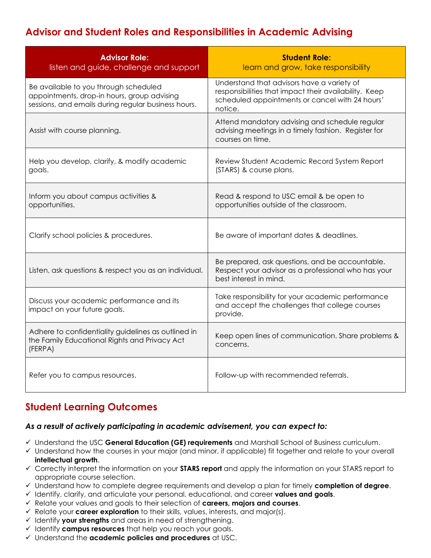### **Advisor and Student Roles and Responsibilities in Academic Advising**

| <b>Advisor Role:</b><br>listen and guide, challenge and support                                                                             | <b>Student Role:</b><br>learn and grow, take responsibility                                                                                                       |
|---------------------------------------------------------------------------------------------------------------------------------------------|-------------------------------------------------------------------------------------------------------------------------------------------------------------------|
| Be available to you through scheduled<br>appointments, drop-in hours, group advising<br>sessions, and emails during regular business hours. | Understand that advisors have a variety of<br>responsibilities that impact their availability. Keep<br>scheduled appointments or cancel with 24 hours'<br>notice. |
| Assist with course planning.                                                                                                                | Attend mandatory advising and schedule regular<br>advising meetings in a timely fashion. Register for<br>courses on time.                                         |
| Help you develop, clarify, & modify academic<br>goals.                                                                                      | Review Student Academic Record System Report<br>(STARS) & course plans.                                                                                           |
| Inform you about campus activities &<br>opportunities.                                                                                      | Read & respond to USC email & be open to<br>opportunities outside of the classroom.                                                                               |
| Clarify school policies & procedures.                                                                                                       | Be aware of important dates & deadlines.                                                                                                                          |
| Listen, ask questions & respect you as an individual.                                                                                       | Be prepared, ask questions, and be accountable.<br>Respect your advisor as a professional who has your<br>best interest in mind.                                  |
| Discuss your academic performance and its<br>impact on your future goals.                                                                   | Take responsibility for your academic performance<br>and accept the challenges that college courses<br>provide.                                                   |
| Adhere to confidentiality guidelines as outlined in<br>the Family Educational Rights and Privacy Act<br>(FERPA)                             | Keep open lines of communication. Share problems &<br>concerns.                                                                                                   |
| Refer you to campus resources.                                                                                                              | Follow-up with recommended referrals.                                                                                                                             |

### **Student Learning Outcomes**

#### *As a result of actively participating in academic advisement, you can expect to:*

- Understand the USC **General Education (GE) requirements** and Marshall School of Business curriculum.
- $\checkmark$  Understand how the courses in your major (and minor, if applicable) fit together and relate to your overall **intellectual growth**.
- Correctly interpret the information on your **STARS report** and apply the information on your STARS report to appropriate course selection.
- Understand how to complete degree requirements and develop a plan for timely **completion of degree**.
- Identify, clarify, and articulate your personal, educational, and career **values and goals**.
- Relate your values and goals to their selection of **careers, majors and courses**.
- Relate your **career exploration** to their skills, values, interests, and major(s).
- $\checkmark$  Identify **your strengths** and areas in need of strengthening.
- Identify **campus resources** that help you reach your goals.
- Understand the **academic policies and procedures** at USC.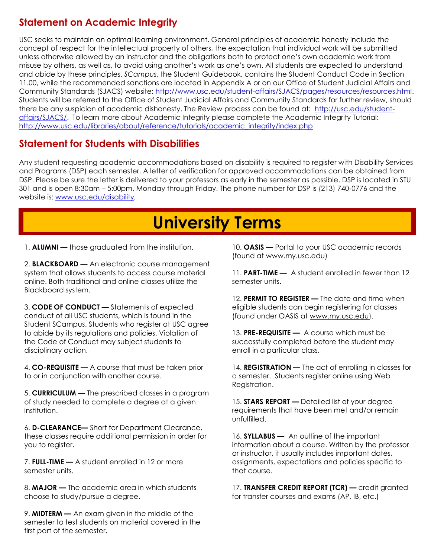### **Statement on Academic Integrity**

USC seeks to maintain an optimal learning environment. General principles of academic honesty include the concept of respect for the intellectual property of others, the expectation that individual work will be submitted unless otherwise allowed by an instructor and the obligations both to protect one's own academic work from misuse by others, as well as, to avoid using another's work as one's own. All students are expected to understand and abide by these principles. *SCampus*, the Student Guidebook, contains the Student Conduct Code in Section 11.00, while the recommended sanctions are located in Appendix A or on our Office of Student Judicial Affairs and Community Standards (SJACS) website: [http://www.usc.edu/student-affairs/SJACS/pages/resources/resources.html.](http://www.usc.edu/student-affairs/SJACS/pages/resources/resources.html) Students will be referred to the Office of Student Judicial Affairs and Community Standards for further review, should there be any suspicion of academic dishonesty. The Review process can be found at: [http://usc.edu/student](http://usc.edu/student-affairs/SJACS/)[affairs/SJACS/.](http://usc.edu/student-affairs/SJACS/) To learn more about Academic Integrity please complete the Academic Integrity Tutorial: [http://www.usc.edu/libraries/about/reference/tutorials/academic\\_integrity/index.php](http://www.usc.edu/libraries/about/reference/tutorials/academic_integrity/index.php) 

### **Statement for Students with Disabilities**

Any student requesting academic accommodations based on disability is required to register with Disability Services and Programs (DSP) each semester. A letter of verification for approved accommodations can be obtained from DSP. Please be sure the letter is delivered to your professors as early in the semester as possible. DSP is located in STU 301 and is open 8:30am – 5:00pm, Monday through Friday. The phone number for DSP is (213) 740-0776 and the website is: [www.usc.edu/disability](http://www.usc.edu/disability)*.*

## **University Terms**

1. **ALUMNI —** those graduated from the institution.

2. **BLACKBOARD —** An electronic course management system that allows students to access course material online. Both traditional and online classes utilize the Blackboard system.

3. **CODE OF CONDUCT —** Statements of expected conduct of all USC students, which is found in the Student SCampus. Students who register at USC agree to abide by its regulations and policies. Violation of the Code of Conduct may subject students to disciplinary action.

4. **CO-REQUISITE —** A course that must be taken prior to or in conjunction with another course.

5. **CURRICULUM —** The prescribed classes in a program of study needed to complete a degree at a given institution.

6. **D-CLEARANCE—** Short for Department Clearance, these classes require additional permission in order for you to register.

7. **FULL-TIME —** A student enrolled in 12 or more semester units.

8. **MAJOR —** The academic area in which students choose to study/pursue a degree.

9. **MIDTERM —** An exam given in the middle of the semester to test students on material covered in the first part of the semester.

10. **OASIS —** Portal to your USC academic records (found at www.my.usc.edu)

11. **PART-TIME —** A student enrolled in fewer than 12 semester units.

12. **PERMIT TO REGISTER —** The date and time when eligible students can begin registering for classes (found under OASIS at www.my.usc.edu).

13. **PRE-REQUISITE —** A course which must be successfully completed before the student may enroll in a particular class.

14. **REGISTRATION —** The act of enrolling in classes for a semester. Students register online using Web Registration.

15. **STARS REPORT —** Detailed list of your degree requirements that have been met and/or remain unfulfilled.

16. **SYLLABUS —** An outline of the important information about a course. Written by the professor or instructor, it usually includes important dates, assignments, expectations and policies specific to that course.

17. **TRANSFER CREDIT REPORT (TCR) —** credit granted for transfer courses and exams (AP, IB, etc.)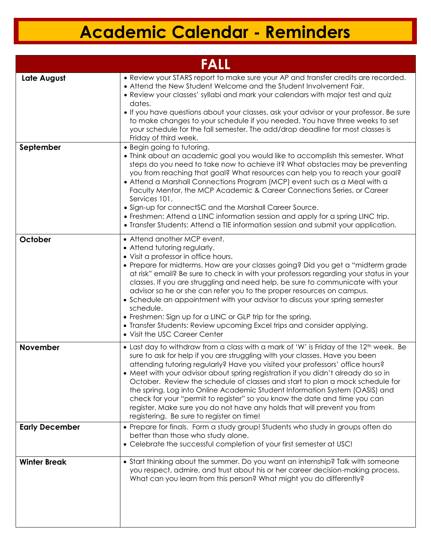# **Academic Calendar - Reminders**

| FALL                  |                                                                                                                                                                                                                                                                                                                                                                                                                                                                                                                                                                                                                                                                                                                              |
|-----------------------|------------------------------------------------------------------------------------------------------------------------------------------------------------------------------------------------------------------------------------------------------------------------------------------------------------------------------------------------------------------------------------------------------------------------------------------------------------------------------------------------------------------------------------------------------------------------------------------------------------------------------------------------------------------------------------------------------------------------------|
| Late August           | • Review your STARS report to make sure your AP and transfer credits are recorded.<br>• Attend the New Student Welcome and the Student Involvement Fair.<br>• Review your classes' syllabi and mark your calendars with major test and quiz<br>dates.<br>. If you have questions about your classes, ask your advisor or your professor. Be sure<br>to make changes to your schedule if you needed. You have three weeks to set<br>your schedule for the fall semester. The add/drop deadline for most classes is<br>Friday of third week.                                                                                                                                                                                   |
| September             | • Begin going to tutoring.<br>• Think about an academic goal you would like to accomplish this semester. What<br>steps do you need to take now to achieve it? What obstacles may be preventing<br>you from reaching that goal? What resources can help you to reach your goal?<br>• Attend a Marshall Connections Program (MCP) event such as a Meal with a<br>Faculty Mentor, the MCP Academic & Career Connections Series, or Career<br>Services 101.<br>• Sign-up for connectSC and the Marshall Career Source.<br>• Freshmen: Attend a LINC information session and apply for a spring LINC trip.<br>• Transfer Students: Attend a TIE information session and submit your application.                                  |
| October               | • Attend another MCP event.<br>• Attend tutoring regularly.<br>• Visit a professor in office hours.<br>• Prepare for midterms. How are your classes going? Did you get a "midterm grade"<br>at risk" email? Be sure to check in with your professors regarding your status in your<br>classes. If you are struggling and need help, be sure to communicate with your<br>advisor so he or she can refer you to the proper resources on campus.<br>• Schedule an appointment with your advisor to discuss your spring semester<br>schedule.<br>• Freshmen: Sign up for a LINC or GLP trip for the spring.<br>• Transfer Students: Review upcoming Excel trips and consider applying.<br>• Visit the USC Career Center          |
| <b>November</b>       | • Last day to withdraw from a class with a mark of 'W' is Friday of the 12 <sup>th</sup> week. Be<br>sure to ask for help if you are struggling with your classes. Have you been<br>attending tutoring regularly? Have you visited your professors' office hours?<br>• Meet with your advisor about spring registration it you didn't already do so in<br>October. Review the schedule of classes and start to plan a mock schedule for<br>the spring. Log into Online Academic Student Information System (OASIS) and<br>check for your "permit to register" so you know the date and time you can<br>register. Make sure you do not have any holds that will prevent you from<br>registering. Be sure to register on time! |
| <b>Early December</b> | • Prepare for finals. Form a study group! Students who study in groups often do<br>better than those who study alone.<br>• Celebrate the successful completion of your first semester at USC!                                                                                                                                                                                                                                                                                                                                                                                                                                                                                                                                |
| <b>Winter Break</b>   | • Start thinking about the summer. Do you want an internship? Talk with someone<br>you respect, admire, and trust about his or her career decision-making process.<br>What can you learn from this person? What might you do differently?                                                                                                                                                                                                                                                                                                                                                                                                                                                                                    |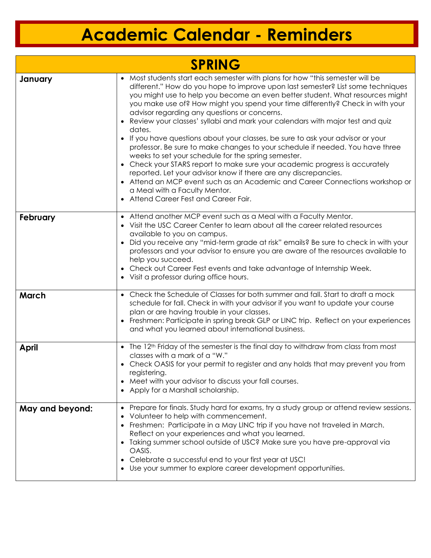## **Academic Calendar - Reminders**

| <b>SPRING</b>   |                                                                                                                                                                                                                                                                                                                                                                                                                                                                                                                                                                                                                                                                                                                                                                                                                                                                                                                                                                                                                         |  |
|-----------------|-------------------------------------------------------------------------------------------------------------------------------------------------------------------------------------------------------------------------------------------------------------------------------------------------------------------------------------------------------------------------------------------------------------------------------------------------------------------------------------------------------------------------------------------------------------------------------------------------------------------------------------------------------------------------------------------------------------------------------------------------------------------------------------------------------------------------------------------------------------------------------------------------------------------------------------------------------------------------------------------------------------------------|--|
| January         | • Most students start each semester with plans for how "this semester will be<br>different." How do you hope to improve upon last semester? List some techniques<br>you might use to help you become an even better student. What resources might<br>you make use of? How might you spend your time differently? Check in with your<br>advisor regarding any questions or concerns.<br>• Review your classes' syllabi and mark your calendars with major test and quiz<br>dates.<br>• If you have questions about your classes, be sure to ask your advisor or your<br>professor. Be sure to make changes to your schedule if needed. You have three<br>weeks to set your schedule for the spring semester.<br>• Check your STARS report to make sure your academic progress is accurately<br>reported. Let your advisor know if there are any discrepancies.<br>• Attend an MCP event such as an Academic and Career Connections workshop or<br>a Meal with a Faculty Mentor.<br>• Attend Career Fest and Career Fair. |  |
| February        | • Attend another MCP event such as a Meal with a Faculty Mentor.<br>• Visit the USC Career Center to learn about all the career related resources<br>available to you on campus.<br>• Did you receive any "mid-term grade at risk" emails? Be sure to check in with your<br>professors and your advisor to ensure you are aware of the resources available to<br>help you succeed.<br>• Check out Career Fest events and take advantage of Internship Week.<br>• Visit a professor during office hours.                                                                                                                                                                                                                                                                                                                                                                                                                                                                                                                 |  |
| March           | • Check the Schedule of Classes for both summer and fall. Start to draft a mock<br>schedule for fall. Check in with your advisor if you want to update your course<br>plan or are having trouble in your classes.<br>• Freshmen: Participate in spring break GLP or LINC trip. Reflect on your experiences<br>and what you learned about international business.                                                                                                                                                                                                                                                                                                                                                                                                                                                                                                                                                                                                                                                        |  |
| <b>April</b>    | • The 12 <sup>th</sup> Friday of the semester is the final day to withdraw from class from most<br>classes with a mark of a "W."<br>• Check OASIS for your permit to register and any holds that may prevent you from<br>registering.<br>• Meet with your advisor to discuss your fall courses.<br>• Apply for a Marshall scholarship.                                                                                                                                                                                                                                                                                                                                                                                                                                                                                                                                                                                                                                                                                  |  |
| May and beyond: | Prepare for finals. Study hard for exams, try a study group or attend review sessions.<br>Volunteer to help with commencement.<br>• Freshmen: Participate in a May LINC trip if you have not traveled in March.<br>Reflect on your experiences and what you learned.<br>• Taking summer school outside of USC? Make sure you have pre-approval via<br>OASIS.<br>• Celebrate a successful end to your first year at USC!<br>• Use your summer to explore career development opportunities.                                                                                                                                                                                                                                                                                                                                                                                                                                                                                                                               |  |